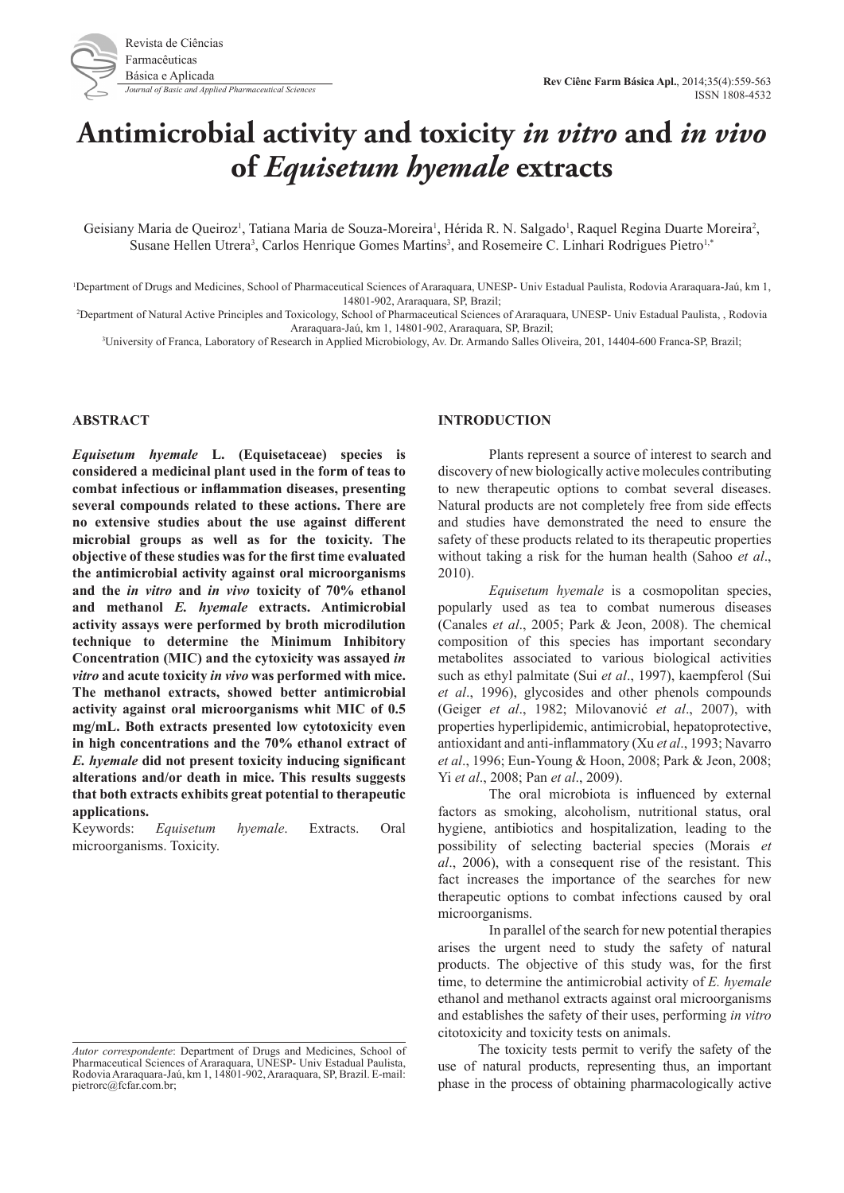# **Antimicrobial activity and toxicity** *in vitro* **and** *in vivo* **of** *Equisetum hyemale* **extracts**

Geisiany Maria de Queiroz<sup>1</sup>, Tatiana Maria de Souza-Moreira<sup>1</sup>, Hérida R. N. Salgado<sup>1</sup>, Raquel Regina Duarte Moreira<sup>2</sup>, Susane Hellen Utrera<sup>3</sup>, Carlos Henrique Gomes Martins<sup>3</sup>, and Rosemeire C. Linhari Rodrigues Pietro<sup>1,\*</sup>

<sup>1</sup>Department of Drugs and Medicines, School of Pharmaceutical Sciences of Araraquara, UNESP- Univ Estadual Paulista, Rodovia Araraquara-Jaú, km 1, 14801-902, Araraquara, SP, Brazil;

2 Department of Natural Active Principles and Toxicology, School of Pharmaceutical Sciences of Araraquara, UNESP- Univ Estadual Paulista, , Rodovia Araraquara-Jaú, km 1, 14801-902, Araraquara, SP, Brazil;

3 University of Franca, Laboratory of Research in Applied Microbiology, Av. Dr. Armando Salles Oliveira, 201, 14404-600 Franca-SP, Brazil;

### **ABSTRACT**

*Equisetum hyemale* **L. (Equisetaceae) species is considered a medicinal plant used in the form of teas to combat infectious or inflammation diseases, presenting several compounds related to these actions. There are no extensive studies about the use against different microbial groups as well as for the toxicity. The objective of these studies was for the first time evaluated the antimicrobial activity against oral microorganisms and the** *in vitro* **and** *in vivo* **toxicity of 70% ethanol and methanol** *E. hyemale* **extracts. Antimicrobial activity assays were performed by broth microdilution technique to determine the Minimum Inhibitory Concentration (MIC) and the cytoxicity was assayed** *in vitro* **and acute toxicity** *in vivo* **was performed with mice. The methanol extracts, showed better antimicrobial activity against oral microorganisms whit MIC of 0.5 mg/mL. Both extracts presented low cytotoxicity even in high concentrations and the 70% ethanol extract of**  *E. hyemale* **did not present toxicity inducing significant alterations and/or death in mice. This results suggests that both extracts exhibits great potential to therapeutic applications.**

Keywords: *Equisetum hyemale*. Extracts. Oral microorganisms. Toxicity.

#### **INTRODUCTION**

Plants represent a source of interest to search and discovery of new biologically active molecules contributing to new therapeutic options to combat several diseases. Natural products are not completely free from side effects and studies have demonstrated the need to ensure the safety of these products related to its therapeutic properties without taking a risk for the human health (Sahoo *et al*., 2010).

*Equisetum hyemale* is a cosmopolitan species, popularly used as tea to combat numerous diseases (Canales *et al*., 2005; Park & Jeon, 2008). The chemical composition of this species has important secondary metabolites associated to various biological activities such as ethyl palmitate (Sui *et al*., 1997), kaempferol (Sui *et al*., 1996), glycosides and other phenols compounds (Geiger *et al*., 1982; Milovanović *et al*., 2007), with properties hyperlipidemic, antimicrobial, hepatoprotective, antioxidant and anti-inflammatory (Xu *et al*., 1993; Navarro *et al*., 1996; Eun-Young & Hoon, 2008; Park & Jeon, 2008; Yi *et al*., 2008; Pan *et al*., 2009).

The oral microbiota is influenced by external factors as smoking, alcoholism, nutritional status, oral hygiene, antibiotics and hospitalization, leading to the possibility of selecting bacterial species (Morais *et al*., 2006), with a consequent rise of the resistant. This fact increases the importance of the searches for new therapeutic options to combat infections caused by oral microorganisms.

In parallel of the search for new potential therapies arises the urgent need to study the safety of natural products. The objective of this study was, for the first time, to determine the antimicrobial activity of *E. hyemale* ethanol and methanol extracts against oral microorganisms and establishes the safety of their uses, performing *in vitro* citotoxicity and toxicity tests on animals.

The toxicity tests permit to verify the safety of the use of natural products, representing thus, an important phase in the process of obtaining pharmacologically active

*Autor correspondente*: Department of Drugs and Medicines, School of Pharmaceutical Sciences of Araraquara, UNESP- Univ Estadual Paulista, Rodovia Araraquara-Jaú, km 1, 14801-902, Araraquara, SP, Brazil. E-mail: pietrorc@fcfar.com.br;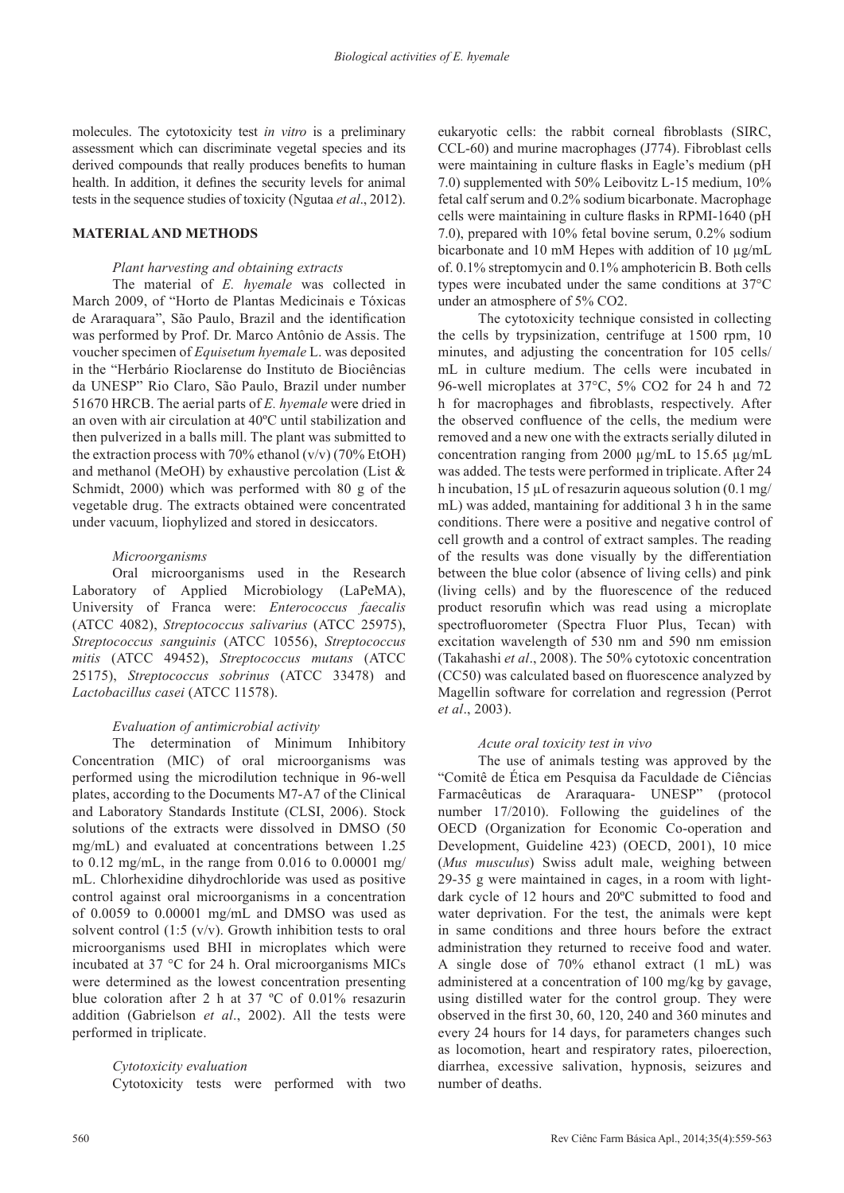molecules. The cytotoxicity test *in vitro* is a preliminary assessment which can discriminate vegetal species and its derived compounds that really produces benefits to human health. In addition, it defines the security levels for animal tests in the sequence studies of toxicity (Ngutaa *et al*., 2012).

#### **MATERIAL AND METHODS**

### *Plant harvesting and obtaining extracts*

The material of *E. hyemale* was collected in March 2009, of "Horto de Plantas Medicinais e Tóxicas de Araraquara", São Paulo, Brazil and the identification was performed by Prof. Dr. Marco Antônio de Assis. The voucher specimen of *Equisetum hyemale* L. was deposited in the "Herbário Rioclarense do Instituto de Biociências da UNESP" Rio Claro, São Paulo, Brazil under number 51670 HRCB. The aerial parts of *E. hyemale* were dried in an oven with air circulation at 40ºC until stabilization and then pulverized in a balls mill. The plant was submitted to the extraction process with 70% ethanol  $(v/v)$  (70% EtOH) and methanol (MeOH) by exhaustive percolation (List & Schmidt, 2000) which was performed with 80 g of the vegetable drug. The extracts obtained were concentrated under vacuum, liophylized and stored in desiccators.

#### *Microorganisms*

Oral microorganisms used in the Research Laboratory of Applied Microbiology (LaPeMA), University of Franca were: *Enterococcus faecalis* (ATCC 4082), *Streptococcus salivarius* (ATCC 25975), *Streptococcus sanguinis* (ATCC 10556), *Streptococcus mitis* (ATCC 49452), *Streptococcus mutans* (ATCC 25175), *Streptococcus sobrinus* (ATCC 33478) and *Lactobacillus casei* (ATCC 11578).

### *Evaluation of antimicrobial activity*

The determination of Minimum Inhibitory Concentration (MIC) of oral microorganisms was performed using the microdilution technique in 96-well plates, according to the Documents M7-A7 of the Clinical and Laboratory Standards Institute (CLSI, 2006). Stock solutions of the extracts were dissolved in DMSO (50 mg/mL) and evaluated at concentrations between 1.25 to  $0.12$  mg/mL, in the range from  $0.016$  to  $0.00001$  mg/ mL. Chlorhexidine dihydrochloride was used as positive control against oral microorganisms in a concentration of 0.0059 to 0.00001 mg/mL and DMSO was used as solvent control (1:5 (v/v). Growth inhibition tests to oral microorganisms used BHI in microplates which were incubated at 37 °C for 24 h. Oral microorganisms MICs were determined as the lowest concentration presenting blue coloration after 2 h at 37 ºC of 0.01% resazurin addition (Gabrielson *et al*., 2002). All the tests were performed in triplicate.

### *Cytotoxicity evaluation*

Cytotoxicity tests were performed with two

eukaryotic cells: the rabbit corneal fibroblasts (SIRC, CCL-60) and murine macrophages (J774). Fibroblast cells were maintaining in culture flasks in Eagle's medium (pH 7.0) supplemented with 50% Leibovitz L-15 medium, 10% fetal calf serum and 0.2% sodium bicarbonate. Macrophage cells were maintaining in culture flasks in RPMI-1640 (pH 7.0), prepared with 10% fetal bovine serum, 0.2% sodium bicarbonate and 10 mM Hepes with addition of 10  $\mu$ g/mL of. 0.1% streptomycin and 0.1% amphotericin B. Both cells types were incubated under the same conditions at 37°C under an atmosphere of 5% CO2.

The cytotoxicity technique consisted in collecting the cells by trypsinization, centrifuge at 1500 rpm, 10 minutes, and adjusting the concentration for 105 cells/ mL in culture medium. The cells were incubated in 96-well microplates at 37°C, 5% CO2 for 24 h and 72 h for macrophages and fibroblasts, respectively. After the observed confluence of the cells, the medium were removed and a new one with the extracts serially diluted in concentration ranging from 2000 µg/mL to 15.65 µg/mL was added. The tests were performed in triplicate. After 24 h incubation,  $15 \mu L$  of resazurin aqueous solution (0.1 mg/ mL) was added, mantaining for additional 3 h in the same conditions. There were a positive and negative control of cell growth and a control of extract samples. The reading of the results was done visually by the differentiation between the blue color (absence of living cells) and pink (living cells) and by the fluorescence of the reduced product resorufin which was read using a microplate spectrofluorometer (Spectra Fluor Plus, Tecan) with excitation wavelength of 530 nm and 590 nm emission (Takahashi *et al*., 2008). The 50% cytotoxic concentration (CC50) was calculated based on fluorescence analyzed by Magellin software for correlation and regression (Perrot *et al*., 2003).

#### *Acute oral toxicity test in vivo*

The use of animals testing was approved by the "Comitê de Ética em Pesquisa da Faculdade de Ciências Farmacêuticas de Araraquara- UNESP" (protocol number 17/2010). Following the guidelines of the OECD (Organization for Economic Co-operation and Development, Guideline 423) (OECD, 2001), 10 mice (*Mus musculus*) Swiss adult male, weighing between 29-35 g were maintained in cages, in a room with lightdark cycle of 12 hours and 20ºC submitted to food and water deprivation. For the test, the animals were kept in same conditions and three hours before the extract administration they returned to receive food and water. A single dose of 70% ethanol extract (1 mL) was administered at a concentration of 100 mg/kg by gavage, using distilled water for the control group. They were observed in the first 30, 60, 120, 240 and 360 minutes and every 24 hours for 14 days, for parameters changes such as locomotion, heart and respiratory rates, piloerection, diarrhea, excessive salivation, hypnosis, seizures and number of deaths.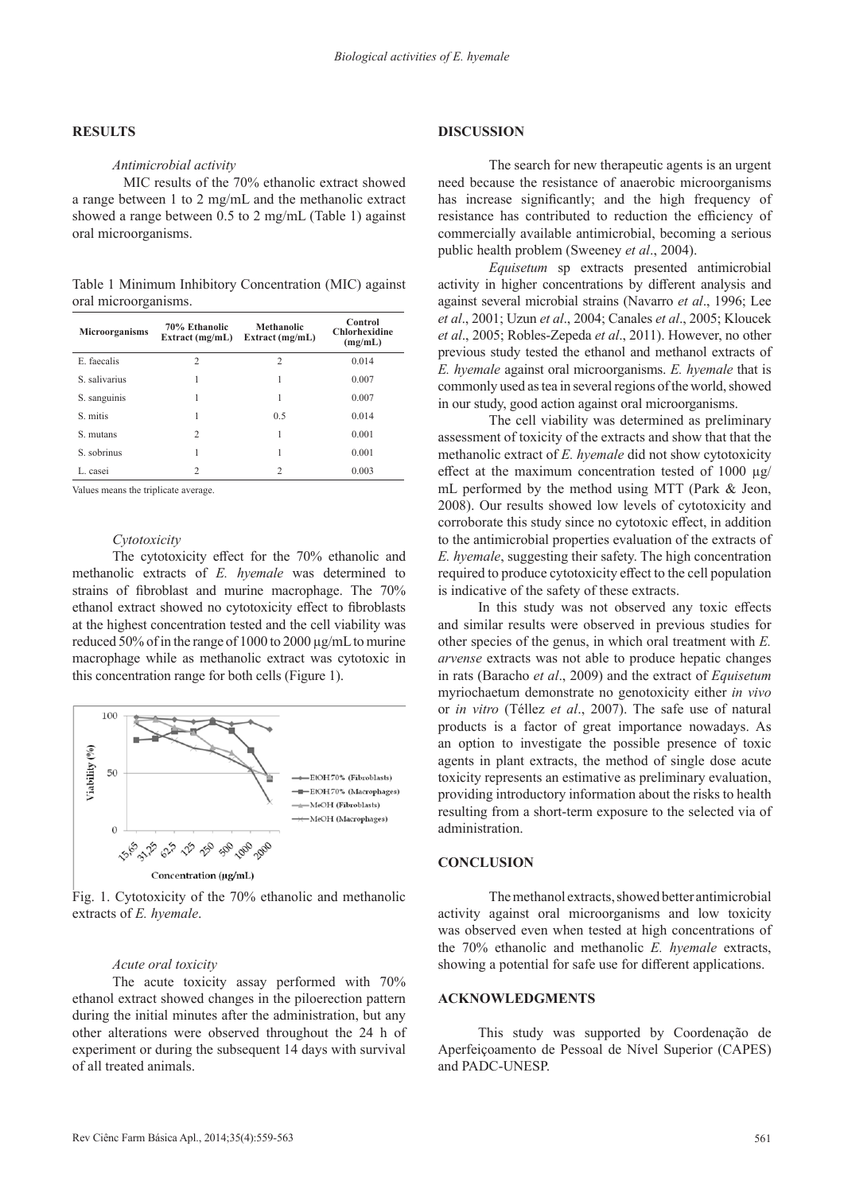## **RESULTS**

#### *Antimicrobial activity*

MIC results of the 70% ethanolic extract showed a range between 1 to 2 mg/mL and the methanolic extract showed a range between 0.5 to 2 mg/mL (Table 1) against oral microorganisms.

Table 1 Minimum Inhibitory Concentration (MIC) against oral microorganisms.

| <b>Microorganisms</b> | 70% Ethanolic<br>Extract $(mg/mL)$ | Methanolic<br>Extract $(mg/mL)$ | Control<br><b>Chlorhexidine</b><br>(mg/mL) |
|-----------------------|------------------------------------|---------------------------------|--------------------------------------------|
| E. faecalis           | 2                                  | $\overline{c}$                  | 0.014                                      |
| S. salivarius         | 1                                  | 1                               | 0.007                                      |
| S. sanguinis          | 1                                  | 1                               | 0.007                                      |
| S. mitis              | 1                                  | 0.5                             | 0.014                                      |
| S. mutans             | 2                                  | 1                               | 0.001                                      |
| S. sobrinus           |                                    | 1                               | 0.001                                      |
| L. casei              | 2                                  | $\overline{c}$                  | 0.003                                      |

Values means the triplicate average.

#### *Cytotoxicity*

The cytotoxicity effect for the 70% ethanolic and methanolic extracts of *E. hyemale* was determined to strains of fibroblast and murine macrophage. The 70% ethanol extract showed no cytotoxicity effect to fibroblasts at the highest concentration tested and the cell viability was reduced 50% of in the range of 1000 to 2000 µg/mL to murine macrophage while as methanolic extract was cytotoxic in this concentration range for both cells (Figure 1).



Fig. 1. Cytotoxicity of the 70% ethanolic and methanolic extracts of *E. hyemale*.

## *Acute oral toxicity*

The acute toxicity assay performed with 70% ethanol extract showed changes in the piloerection pattern during the initial minutes after the administration, but any other alterations were observed throughout the 24 h of experiment or during the subsequent 14 days with survival of all treated animals.

## **DISCUSSION**

The search for new therapeutic agents is an urgent need because the resistance of anaerobic microorganisms has increase significantly; and the high frequency of resistance has contributed to reduction the efficiency of commercially available antimicrobial, becoming a serious public health problem (Sweeney *et al*., 2004).

*Equisetum* sp extracts presented antimicrobial activity in higher concentrations by different analysis and against several microbial strains (Navarro *et al*., 1996; Lee *et al*., 2001; Uzun *et al*., 2004; Canales *et al*., 2005; Kloucek *et al*., 2005; Robles-Zepeda *et al*., 2011). However, no other previous study tested the ethanol and methanol extracts of *E. hyemale* against oral microorganisms. *E. hyemale* that is commonly used as tea in several regions of the world, showed in our study, good action against oral microorganisms.

The cell viability was determined as preliminary assessment of toxicity of the extracts and show that that the methanolic extract of *E. hyemale* did not show cytotoxicity effect at the maximum concentration tested of 1000 µg/ mL performed by the method using MTT (Park & Jeon, 2008). Our results showed low levels of cytotoxicity and corroborate this study since no cytotoxic effect, in addition to the antimicrobial properties evaluation of the extracts of *E. hyemale*, suggesting their safety. The high concentration required to produce cytotoxicity effect to the cell population is indicative of the safety of these extracts.

In this study was not observed any toxic effects and similar results were observed in previous studies for other species of the genus, in which oral treatment with *E. arvense* extracts was not able to produce hepatic changes in rats (Baracho *et al*., 2009) and the extract of *Equisetum* myriochaetum demonstrate no genotoxicity either *in vivo* or *in vitro* (Téllez *et al*., 2007). The safe use of natural products is a factor of great importance nowadays. As an option to investigate the possible presence of toxic agents in plant extracts, the method of single dose acute toxicity represents an estimative as preliminary evaluation, providing introductory information about the risks to health resulting from a short-term exposure to the selected via of administration.

#### **CONCLUSION**

The methanol extracts, showed better antimicrobial activity against oral microorganisms and low toxicity was observed even when tested at high concentrations of the 70% ethanolic and methanolic *E. hyemale* extracts, showing a potential for safe use for different applications.

## **ACKNOWLEDGMENTS**

This study was supported by Coordenação de Aperfeiçoamento de Pessoal de Nível Superior (CAPES) and PADC-UNESP.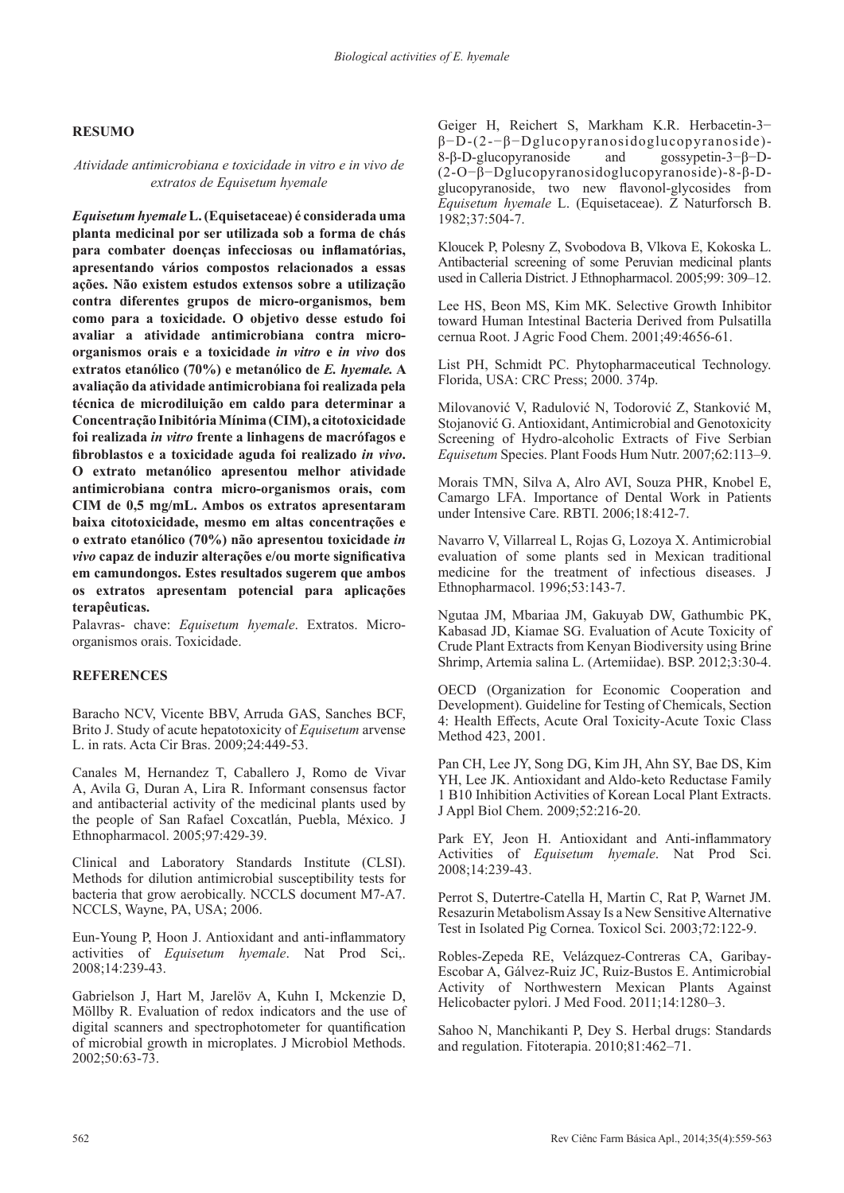## **RESUMO**

## *Atividade antimicrobiana e toxicidade in vitro e in vivo de extratos de Equisetum hyemale*

*Equisetum hyemale* **L. (Equisetaceae) é considerada uma planta medicinal por ser utilizada sob a forma de chás para combater doenças infecciosas ou inflamatórias, apresentando vários compostos relacionados a essas ações. Não existem estudos extensos sobre a utilização contra diferentes grupos de micro-organismos, bem como para a toxicidade. O objetivo desse estudo foi avaliar a atividade antimicrobiana contra microorganismos orais e a toxicidade** *in vitro* **e** *in vivo* **dos extratos etanólico (70%) e metanólico de** *E. hyemale.* **A avaliação da atividade antimicrobiana foi realizada pela técnica de microdiluição em caldo para determinar a Concentração Inibitória Mínima (CIM), a citotoxicidade foi realizada** *in vitro* **frente a linhagens de macrófagos e fibroblastos e a toxicidade aguda foi realizado** *in vivo***. O extrato metanólico apresentou melhor atividade antimicrobiana contra micro-organismos orais, com CIM de 0,5 mg/mL. Ambos os extratos apresentaram baixa citotoxicidade, mesmo em altas concentrações e o extrato etanólico (70%) não apresentou toxicidade** *in vivo* **capaz de induzir alterações e/ou morte significativa em camundongos. Estes resultados sugerem que ambos os extratos apresentam potencial para aplicações terapêuticas.**

Palavras- chave: *Equisetum hyemale*. Extratos. Microorganismos orais. Toxicidade.

## **REFERENCES**

Baracho NCV, Vicente BBV, Arruda GAS, Sanches BCF, Brito J. Study of acute hepatotoxicity of *Equisetum* arvense L. in rats. Acta Cir Bras. 2009;24:449-53.

Canales M, Hernandez T, Caballero J, Romo de Vivar A, Avila G, Duran A, Lira R. Informant consensus factor and antibacterial activity of the medicinal plants used by the people of San Rafael Coxcatlán, Puebla, México. J Ethnopharmacol. 2005;97:429-39.

Clinical and Laboratory Standards Institute (CLSI). Methods for dilution antimicrobial susceptibility tests for bacteria that grow aerobically. NCCLS document M7-A7. NCCLS, Wayne, PA, USA; 2006.

Eun-Young P, Hoon J. Antioxidant and anti-inflammatory activities of *Equisetum hyemale*. Nat Prod Sci,. 2008;14:239-43.

Gabrielson J, Hart M, Jarelöv A, Kuhn I, Mckenzie D, Möllby R. Evaluation of redox indicators and the use of digital scanners and spectrophotometer for quantification of microbial growth in microplates. J Microbiol Methods. 2002;50:63-73.

Geiger H, Reichert S, Markham K.R. Herbacetin-3− β−D-(2-−β−Dglucopyranosidoglucopyranoside)- 8-β-D-glucopyranoside and gossypetin-3−β−D- (2-O−β−Dglucopyranosidoglucopyranoside)-8-β-Dglucopyranoside, two new flavonol-glycosides from *Equisetum hyemale* L. (Equisetaceae). Z Naturforsch B. 1982;37:504-7.

Kloucek P, Polesny Z, Svobodova B, Vlkova E, Kokoska L. Antibacterial screening of some Peruvian medicinal plants used in Calleria District. J Ethnopharmacol. 2005;99: 309–12.

Lee HS, Beon MS, Kim MK. Selective Growth Inhibitor toward Human Intestinal Bacteria Derived from Pulsatilla cernua Root. J Agric Food Chem. 2001;49:4656-61.

List PH, Schmidt PC. Phytopharmaceutical Technology. Florida, USA: CRC Press; 2000. 374p.

Milovanović V, Radulović N, Todorović Z, Stanković M, Stojanović G. Antioxidant, Antimicrobial and Genotoxicity Screening of Hydro-alcoholic Extracts of Five Serbian *Equisetum* Species. Plant Foods Hum Nutr. 2007;62:113–9.

Morais TMN, Silva A, Alro AVI, Souza PHR, Knobel E, Camargo LFA. Importance of Dental Work in Patients under Intensive Care. RBTI. 2006;18:412-7.

Navarro V, Villarreal L, Rojas G, Lozoya X. Antimicrobial evaluation of some plants sed in Mexican traditional medicine for the treatment of infectious diseases. J Ethnopharmacol. 1996;53:143-7.

Ngutaa JM, Mbariaa JM, Gakuyab DW, Gathumbic PK, Kabasad JD, Kiamae SG. Evaluation of Acute Toxicity of Crude Plant Extracts from Kenyan Biodiversity using Brine Shrimp, Artemia salina L. (Artemiidae). BSP. 2012;3:30-4.

OECD (Organization for Economic Cooperation and Development). Guideline for Testing of Chemicals, Section 4: Health Effects, Acute Oral Toxicity-Acute Toxic Class Method 423, 2001.

Pan CH, Lee JY, Song DG, Kim JH, Ahn SY, Bae DS, Kim YH, Lee JK. Antioxidant and Aldo-keto Reductase Family 1 B10 Inhibition Activities of Korean Local Plant Extracts. J Appl Biol Chem. 2009;52:216-20.

Park EY, Jeon H. Antioxidant and Anti-inflammatory Activities of *Equisetum hyemale*. Nat Prod Sci. 2008;14:239-43.

Perrot S, Dutertre-Catella H, Martin C, Rat P, Warnet JM. Resazurin Metabolism Assay Is a New Sensitive Alternative Test in Isolated Pig Cornea. Toxicol Sci. 2003;72:122-9.

Robles-Zepeda RE, Velázquez-Contreras CA, Garibay-Escobar A, Gálvez-Ruiz JC, Ruiz-Bustos E. Antimicrobial Activity of Northwestern Mexican Plants Against Helicobacter pylori. J Med Food. 2011;14:1280–3.

Sahoo N, Manchikanti P, Dey S. Herbal drugs: Standards and regulation. Fitoterapia. 2010;81:462–71.